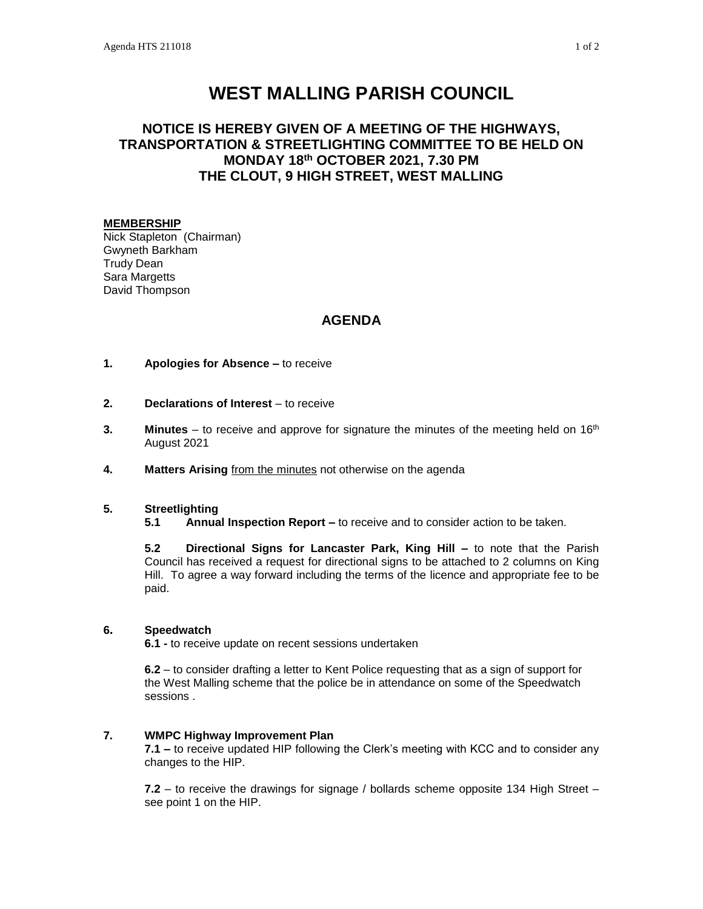# **WEST MALLING PARISH COUNCIL**

# **NOTICE IS HEREBY GIVEN OF A MEETING OF THE HIGHWAYS, TRANSPORTATION & STREETLIGHTING COMMITTEE TO BE HELD ON MONDAY 18th OCTOBER 2021, 7.30 PM THE CLOUT, 9 HIGH STREET, WEST MALLING**

## **MEMBERSHIP**

Nick Stapleton (Chairman) Gwyneth Barkham Trudy Dean Sara Margetts David Thompson

# **AGENDA**

#### **1. Apologies for Absence –** to receive

- **2. Declarations of Interest** to receive
- **3. Minutes** to receive and approve for signature the minutes of the meeting held on 16<sup>th</sup> August 2021
- **4. Matters Arising** from the minutes not otherwise on the agenda

## **5. Streetlighting**

**5.1 Annual Inspection Report –** to receive and to consider action to be taken.

**5.2 Directional Signs for Lancaster Park, King Hill –** to note that the Parish Council has received a request for directional signs to be attached to 2 columns on King Hill. To agree a way forward including the terms of the licence and appropriate fee to be paid.

## **6. Speedwatch**

**6.1 -** to receive update on recent sessions undertaken

**6.2** – to consider drafting a letter to Kent Police requesting that as a sign of support for the West Malling scheme that the police be in attendance on some of the Speedwatch sessions .

## **7. WMPC Highway Improvement Plan**

**7.1 –** to receive updated HIP following the Clerk's meeting with KCC and to consider any changes to the HIP.

**7.2** – to receive the drawings for signage / bollards scheme opposite 134 High Street – see point 1 on the HIP.